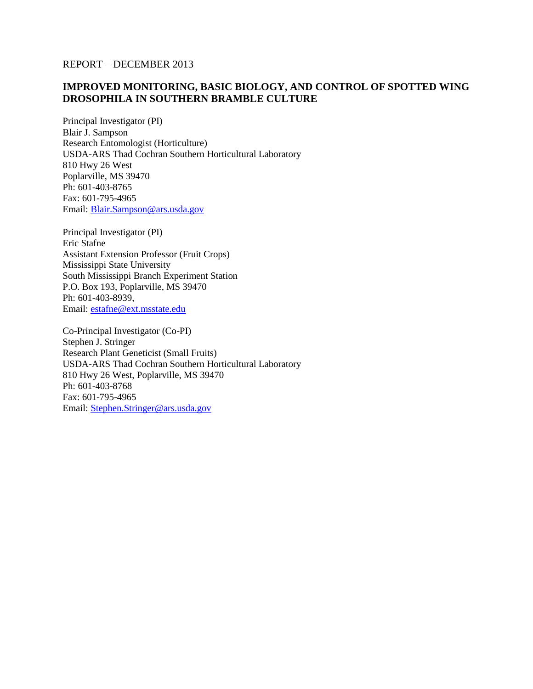REPORT – DECEMBER 2013

## **IMPROVED MONITORING, BASIC BIOLOGY, AND CONTROL OF SPOTTED WING DROSOPHILA IN SOUTHERN BRAMBLE CULTURE**

Principal Investigator (PI) Blair J. Sampson Research Entomologist (Horticulture) USDA-ARS Thad Cochran Southern Horticultural Laboratory 810 Hwy 26 West Poplarville, MS 39470 Ph: 601-403-8765 Fax: 601-795-4965 Email: [Blair.Sampson@ars.usda.gov](mailto:Blair.Sampson@ars.usda.gov)

Principal Investigator (PI) Eric Stafne Assistant Extension Professor (Fruit Crops) Mississippi State University South Mississippi Branch Experiment Station P.O. Box 193, Poplarville, MS 39470 Ph: 601-403-8939, Email: [estafne@ext.msstate.edu](mailto:estafne@ext.msstate.edu)

Co-Principal Investigator (Co-PI) Stephen J. Stringer Research Plant Geneticist (Small Fruits) USDA-ARS Thad Cochran Southern Horticultural Laboratory 810 Hwy 26 West, Poplarville, MS 39470 Ph: 601-403-8768 Fax: 601-795-4965 Email: [Stephen.Stringer@ars.usda.gov](mailto:Stephen.Stringer@ars.usda.gov)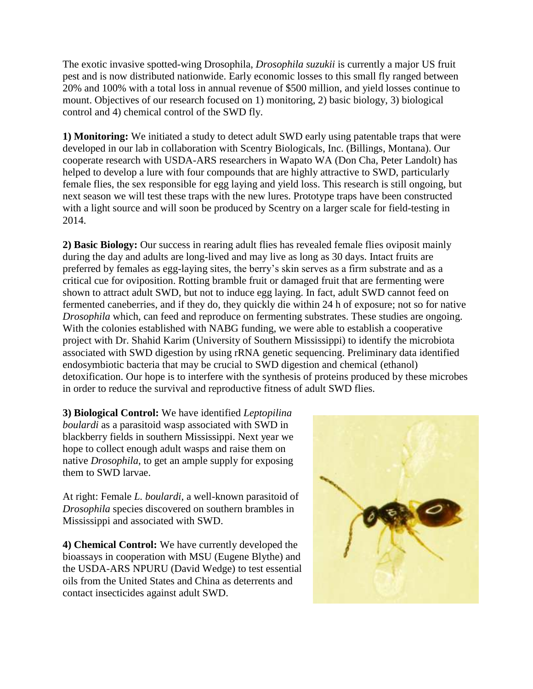The exotic invasive spotted-wing Drosophila, *Drosophila suzukii* is currently a major US fruit pest and is now distributed nationwide. Early economic losses to this small fly ranged between 20% and 100% with a total loss in annual revenue of \$500 million, and yield losses continue to mount. Objectives of our research focused on 1) monitoring, 2) basic biology, 3) biological control and 4) chemical control of the SWD fly.

**1) Monitoring:** We initiated a study to detect adult SWD early using patentable traps that were developed in our lab in collaboration with Scentry Biologicals, Inc. (Billings, Montana). Our cooperate research with USDA-ARS researchers in Wapato WA (Don Cha, Peter Landolt) has helped to develop a lure with four compounds that are highly attractive to SWD, particularly female flies, the sex responsible for egg laying and yield loss. This research is still ongoing, but next season we will test these traps with the new lures. Prototype traps have been constructed with a light source and will soon be produced by Scentry on a larger scale for field-testing in 2014.

**2) Basic Biology:** Our success in rearing adult flies has revealed female flies oviposit mainly during the day and adults are long-lived and may live as long as 30 days. Intact fruits are preferred by females as egg-laying sites, the berry's skin serves as a firm substrate and as a critical cue for oviposition. Rotting bramble fruit or damaged fruit that are fermenting were shown to attract adult SWD, but not to induce egg laying. In fact, adult SWD cannot feed on fermented caneberries, and if they do, they quickly die within 24 h of exposure; not so for native *Drosophila* which, can feed and reproduce on fermenting substrates. These studies are ongoing. With the colonies established with NABG funding, we were able to establish a cooperative project with Dr. Shahid Karim (University of Southern Mississippi) to identify the microbiota associated with SWD digestion by using rRNA genetic sequencing. Preliminary data identified endosymbiotic bacteria that may be crucial to SWD digestion and chemical (ethanol) detoxification. Our hope is to interfere with the synthesis of proteins produced by these microbes in order to reduce the survival and reproductive fitness of adult SWD flies.

**3) Biological Control:** We have identified *Leptopilina boulardi* as a parasitoid wasp associated with SWD in blackberry fields in southern Mississippi. Next year we hope to collect enough adult wasps and raise them on native *Drosophila*, to get an ample supply for exposing them to SWD larvae.

At right: Female *L. boulardi*, a well-known parasitoid of *Drosophila* species discovered on southern brambles in Mississippi and associated with SWD.

**4) Chemical Control:** We have currently developed the bioassays in cooperation with MSU (Eugene Blythe) and the USDA-ARS NPURU (David Wedge) to test essential oils from the United States and China as deterrents and contact insecticides against adult SWD.